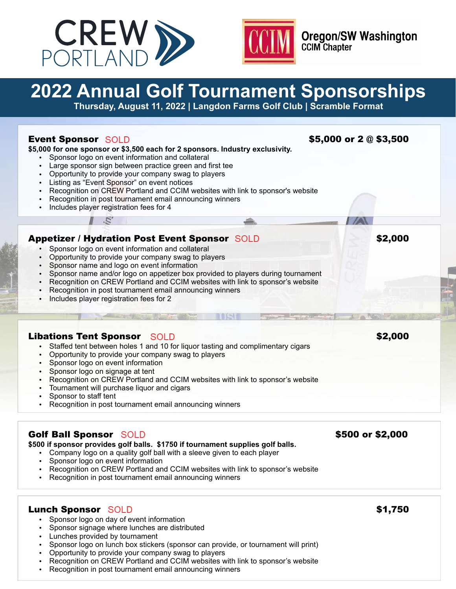



**Oregon/SW Washington CCIM Chapter** 

# **2022 Annual Golf Tournament Sponsorships**

**Thursday, August 11, 2022 | Langdon Farms Golf Club | Scramble Format**

| <b>Event Sponsor SOLD</b><br>\$5,000 for one sponsor or \$3,500 each for 2 sponsors. Industry exclusivity.<br>Sponsor logo on event information and collateral<br>Large sponsor sign between practice green and first tee<br>$\bullet$<br>Opportunity to provide your company swag to players<br>$\bullet$<br>Listing as "Event Sponsor" on event notices<br>$\bullet$<br>Recognition on CREW Portland and CCIM websites with link to sponsor's website<br>$\bullet$<br>Recognition in post tournament email announcing winners<br>$\bullet$<br>Includes player registration fees for 4<br>$\bullet$ | \$5,000 or 2 @ \$3,500 |
|------------------------------------------------------------------------------------------------------------------------------------------------------------------------------------------------------------------------------------------------------------------------------------------------------------------------------------------------------------------------------------------------------------------------------------------------------------------------------------------------------------------------------------------------------------------------------------------------------|------------------------|
|                                                                                                                                                                                                                                                                                                                                                                                                                                                                                                                                                                                                      |                        |
| <b>Appetizer / Hydration Post Event Sponsor SOLD</b><br>Sponsor logo on event information and collateral<br>Opportunity to provide your company swag to players<br>Sponsor name and logo on event information<br>Sponsor name and/or logo on appetizer box provided to players during tournament<br>Recognition on CREW Portland and CCIM websites with link to sponsor's website<br>$\bullet$<br>Recognition in post tournament email announcing winners<br>Includes player registration fees for 2<br>$\bullet$                                                                                    | \$2,000                |
| <b>Libations Tent Sponsor</b> SOLD<br>Staffed tent between holes 1 and 10 for liquor tasting and complimentary cigars<br>$\bullet$<br>Opportunity to provide your company swag to players<br>$\bullet$<br>Sponsor logo on event information<br>Sponsor logo on signage at tent<br>$Doseemition on CDEMID with and OOMuuchovization with light to one example.$                                                                                                                                                                                                                                       | \$2,000                |

- Recognition on CREW Portland and CCIM websites with link to sponsor's website
- Tournament will purchase liquor and cigars
- Sponsor to staff tent
- Recognition in post tournament email announcing winners

# Golf Ball Sponsor SOLD **600 or \$2,000** S500 or \$2,000

**\$500 if sponsor provides golf balls. \$1750 if tournament supplies golf balls.**

- Company logo on a quality golf ball with a sleeve given to each player
- Sponsor logo on event information
- Recognition on CREW Portland and CCIM websites with link to sponsor's website
- Recognition in post tournament email announcing winners

## Lunch Sponsor \$1,750

- Sponsor logo on day of event information
- Sponsor signage where lunches are distributed
- Lunches provided by tournament
- Sponsor logo on lunch box stickers (sponsor can provide, or tournament will print)
- Opportunity to provide your company swag to players
- Recognition on CREW Portland and CCIM websites with link to sponsor's website
- Recognition in post tournament email announcing winners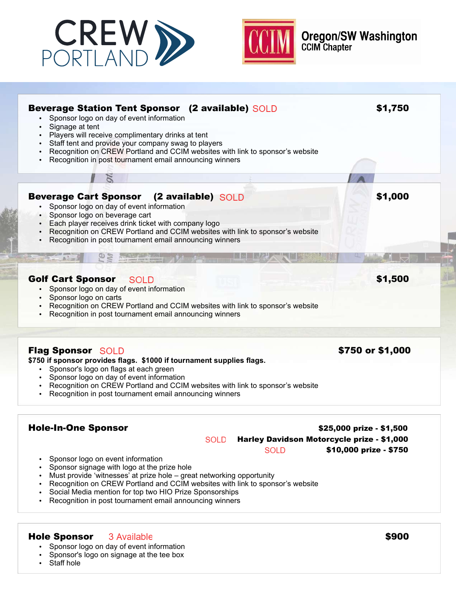



**Oregon/SW Washington**<br>CCIM Chapter

| <b>Beverage Station Tent Sponsor (2 available) SOLD</b><br>Sponsor logo on day of event information<br>Signage at tent<br>Players will receive complimentary drinks at tent<br>$\bullet$<br>Staff tent and provide your company swag to players<br>Recognition on CREW Portland and CCIM websites with link to sponsor's website<br>Recognition in post tournament email announcing winners |                                            |                          | \$1,750          |
|---------------------------------------------------------------------------------------------------------------------------------------------------------------------------------------------------------------------------------------------------------------------------------------------------------------------------------------------------------------------------------------------|--------------------------------------------|--------------------------|------------------|
|                                                                                                                                                                                                                                                                                                                                                                                             |                                            |                          |                  |
| <b>Beverage Cart Sponsor</b><br>(2 available) SOLD<br>• Sponsor logo on day of event information<br>Sponsor logo on beverage cart<br>Each player receives drink ticket with company logo<br>Recognition on CREW Portland and CCIM websites with link to sponsor's website<br>Recognition in post tournament email announcing winners                                                        |                                            |                          | \$1,000          |
| <b>Golf Cart Sponsor</b><br><b>SOLD</b><br>• Sponsor logo on day of event information<br>Sponsor logo on carts<br>Recognition on CREW Portland and CCIM websites with link to sponsor's website<br>Recognition in post tournament email announcing winners                                                                                                                                  |                                            |                          | \$1,500          |
|                                                                                                                                                                                                                                                                                                                                                                                             |                                            |                          |                  |
| <b>Flag Sponsor SOLD</b><br>\$750 if sponsor provides flags. \$1000 if tournament supplies flags.<br>Sponsor's logo on flags at each green<br>• Sponsor logo on day of event information<br>Recognition on CREW Portland and CCIM websites with link to sponsor's website<br>Recognition in post tournament email announcing winners                                                        |                                            |                          | \$750 or \$1,000 |
| <b>Hole-In-One Sponsor</b>                                                                                                                                                                                                                                                                                                                                                                  |                                            | \$25,000 prize - \$1,500 |                  |
| <b>SOLD</b>                                                                                                                                                                                                                                                                                                                                                                                 | Harley Davidson Motorcycle prize - \$1,000 |                          |                  |
| Sponsor logo on event information<br>Sponsor signage with logo at the prize hole<br>the contract of the following contract the contract of the contract of the contract of the contract of the contract of the contract of the contract of the contract of the contract of the contract of the contract of the con                                                                          | <b>SOLD</b>                                | \$10,000 prize - \$750   |                  |

- Must provide 'witnesses' at prize hole great networking opportunity
- Recognition on CREW Portland and CCIM websites with link to sponsor's website
- Social Media mention for top two HIO Prize Sponsorships
- Recognition in post tournament email announcing winners

# Hole Sponsor 3 Available 3 Available 3 Available 3 Available 3 Available 3 Available 3 Available 3 Available 3 Available 3 Available 3 Available 3 Available 3 Available 3 Available 3 Available 3 Available 3 Available 3 Ava

- Sponsor logo on day of event information
- Sponsor's logo on signage at the tee box
- $\cdot$  Staff hole